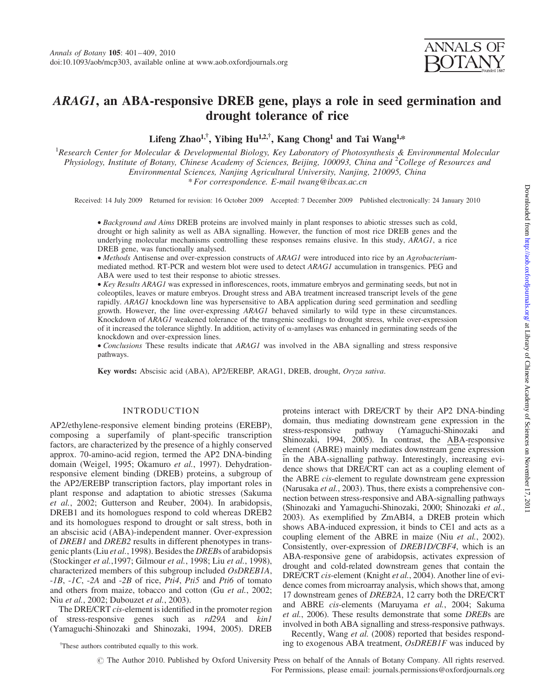# ARAG1, an ABA-responsive DREB gene, plays a role in seed germination and drought tolerance of rice

Lifeng Zhao<sup>1,†</sup>, Yibing Hu<sup>1,2,†</sup>, Kang Chong<sup>1</sup> and Tai Wang<sup>1,\*</sup>

<sup>1</sup> Research Center for Molecular & Developmental Biology, Key Laboratory of Photosynthesis & Environmental Molecular Physiology, Institute of Botany, Chinese Academy of Sciences, Beijing, 100093, China and <sup>2</sup>College of Resources and Environmental Sciences, Nanjing Agricultural University, Nanjing, 210095, China \* For correspondence. E-mail twang@ibcas.ac.cn

Received: 14 July 2009 Returned for revision: 16 October 2009 Accepted: 7 December 2009 Published electronically: 24 January 2010

† Background and Aims DREB proteins are involved mainly in plant responses to abiotic stresses such as cold, drought or high salinity as well as ABA signalling. However, the function of most rice DREB genes and the underlying molecular mechanisms controlling these responses remains elusive. In this study, ARAG1, a rice DREB gene, was functionally analysed.

• Methods Antisense and over-expression constructs of ARAG1 were introduced into rice by an Agrobacteriummediated method. RT-PCR and western blot were used to detect ARAG1 accumulation in transgenics. PEG and ABA were used to test their response to abiotic stresses.

†Key Results ARAG1 was expressed in inflorescences, roots, immature embryos and germinating seeds, but not in coleoptiles, leaves or mature embryos. Drought stress and ABA treatment increased transcript levels of the gene rapidly. ARAG1 knockdown line was hypersensitive to ABA application during seed germination and seedling growth. However, the line over-expressing ARAG1 behaved similarly to wild type in these circumstances. Knockdown of ARAG1 weakened tolerance of the transgenic seedlings to drought stress, while over-expression of it increased the tolerance slightly. In addition, activity of  $\alpha$ -amylases was enhanced in germinating seeds of the knockdown and over-expression lines.

• Conclusions These results indicate that ARAG1 was involved in the ABA signalling and stress responsive pathways.

Key words: Abscisic acid (ABA), AP2/EREBP, ARAG1, DREB, drought, Oryza sativa.

# INTRODUCTION

AP2/ethylene-responsive element binding proteins (EREBP), composing a superfamily of plant-specific transcription factors, are characterized by the presence of a highly conserved approx. 70-amino-acid region, termed the AP2 DNA-binding domain (Weigel, 1995; Okamuro et al., 1997). Dehydrationresponsive element binding (DREB) proteins, a subgroup of the AP2/EREBP transcription factors, play important roles in plant response and adaptation to abiotic stresses (Sakuma et al., 2002; Gutterson and Reuber, 2004). In arabidopsis, DREB1 and its homologues respond to cold whereas DREB2 and its homologues respond to drought or salt stress, both in an abscisic acid (ABA)-independent manner. Over-expression of DREB1 and DREB2 results in different phenotypes in transgenic plants (Liu et al., 1998). Besides the DREBs of arabidopsis (Stockinger et al.,1997; Gilmour et al., 1998; Liu et al., 1998), characterized members of this subgroup included OsDREB1A, -1B, -1C, -2A and -2B of rice, Pti4, Pti5 and Pti6 of tomato and others from maize, tobacco and cotton (Gu et al., 2002; Niu et al., 2002; Dubouzet et al., 2003).

The DRE/CRT cis-element is identified in the promoter region of stress-responsive genes such as rd29A and kin1 (Yamaguchi-Shinozaki and Shinozaki, 1994, 2005). DREB proteins interact with DRE/CRT by their AP2 DNA-binding domain, thus mediating downstream gene expression in the stress-responsive pathway (Yamaguchi-Shinozaki and stress-responsive pathway (Yamaguchi-Shinozaki and Shinozaki, 1994, 2005). In contrast, the ABA-responsive element (ABRE) mainly mediates downstream gene expression in the ABA-signalling pathway. Interestingly, increasing evidence shows that DRE/CRT can act as a coupling element of the ABRE cis-element to regulate downstream gene expression (Narusaka et al., 2003). Thus, there exists a comprehensive connection between stress-responsive and ABA-signalling pathways (Shinozaki and Yamaguchi-Shinozaki, 2000; Shinozaki et al., 2003). As exemplified by ZmABI4, a DREB protein which shows ABA-induced expression, it binds to CE1 and acts as a coupling element of the ABRE in maize (Niu et al., 2002). Consistently, over-expression of DREB1D/CBF4, which is an ABA-responsive gene of arabidopsis, activates expression of drought and cold-related downstream genes that contain the DRE/CRT cis-element (Knight et al., 2004). Another line of evidence comes from microarray analysis, which shows that, among 17 downstream genes of DREB2A, 12 carry both the DRE/CRT and ABRE cis-elements (Maruyama et al., 2004; Sakuma et al., 2006). These results demonstrate that some DREBs are involved in both ABA signalling and stress-responsive pathways.

Recently, Wang et al. (2008) reported that besides respond- <sup>†</sup>These authors contributed equally to this work. ing to exogenous ABA treatment, *OsDREB1F* was induced by

# The Author 2010. Published by Oxford University Press on behalf of the Annals of Botany Company. All rights reserved. For Permissions, please email: journals.permissions@oxfordjournals.org

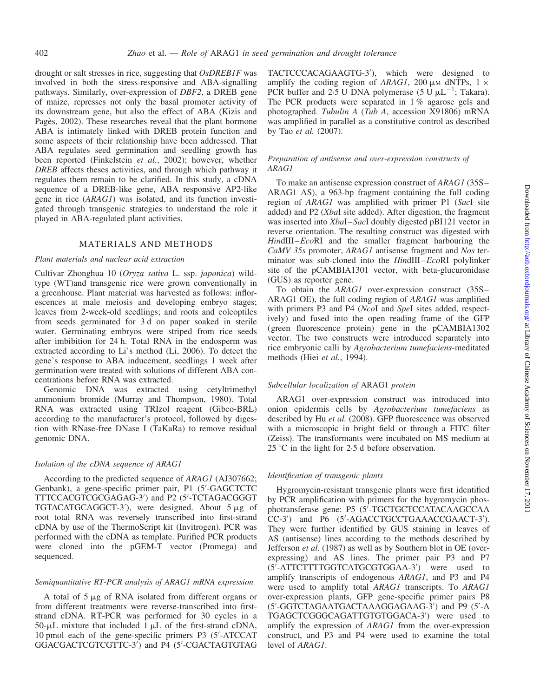drought or salt stresses in rice, suggesting that OsDREB1F was involved in both the stress-responsive and ABA-signalling pathways. Similarly, over-expression of DBF2, a DREB gene of maize, represses not only the basal promoter activity of its downstream gene, but also the effect of ABA (Kizis and Pagès, 2002). These researches reveal that the plant hormone ABA is intimately linked with DREB protein function and some aspects of their relationship have been addressed. That ABA regulates seed germination and seedling growth has been reported (Finkelstein et al., 2002); however, whether DREB affects theses activities, and through which pathway it regulates them remain to be clarified. In this study, a cDNA sequence of a DREB-like gene, ABA responsive AP2-like gene in rice  $(ARAGI)$  was isolated, and its function investigated through transgenic strategies to understand the role it played in ABA-regulated plant activities.

# MATERIALS AND METHODS

## Plant materials and nuclear acid extraction

Cultivar Zhonghua 10 (Oryza sativa L. ssp. japonica) wildtype (WT)and transgenic rice were grown conventionally in a greenhouse. Plant material was harvested as follows: inflorescences at male meiosis and developing embryo stages; leaves from 2-week-old seedlings; and roots and coleoptiles from seeds germinated for 3 d on paper soaked in sterile water. Germinating embryos were striped from rice seeds after imbibition for 24 h. Total RNA in the endosperm was extracted according to Li's method (Li, 2006). To detect the gene's response to ABA inducement, seedlings 1 week after germination were treated with solutions of different ABA concentrations before RNA was extracted.

Genomic DNA was extracted using cetyltrimethyl ammonium bromide (Murray and Thompson, 1980). Total RNA was extracted using TRIzol reagent (Gibco-BRL) according to the manufacturer's protocol, followed by digestion with RNase-free DNase I (TaKaRa) to remove residual genomic DNA.

#### Isolation of the cDNA sequence of ARAG1

According to the predicted sequence of ARAG1 (AJ307662; Genbank), a gene-specific primer pair, P1 (5'-GAGCTCTC TTTCCACGTCGCGAGAG-3') and P2 (5'-TCTAGACGGGT TGTACATGCAGGCT-3'), were designed. About  $5 \mu g$  of root total RNA was reversely transcribed into first-strand cDNA by use of the ThermoScript kit (Invitrogen). PCR was performed with the cDNA as template. Purified PCR products were cloned into the pGEM-T vector (Promega) and sequenced.

## Semiquantitative RT-PCR analysis of ARAG1 mRNA expression

A total of  $5 \mu$ g of RNA isolated from different organs or from different treatments were reverse-transcribed into firststrand cDNA. RT-PCR was performed for 30 cycles in a 50- $\mu$ L mixture that included  $\hat{1}$   $\mu$ L of the first-strand cDNA, 10 pmol each of the gene-specific primers P3 (5'-ATCCAT GGACGACTCGTCGTTC-3<sup>'</sup>) and P4 (5'-CGACTAGTGTAG

TACTCCCACAGAAGTG-3'), which were designed to amplify the coding region of ARAG1, 200  $\mu$ M dNTPs, 1  $\times$ PCR buffer and 2.5 U DNA polymerase  $(5 \text{ U } \mu L^{-1}$ ; Takara). The PCR products were separated in 1% agarose gels and photographed. Tubulin A (Tub A, accession  $\overline{X}91806$ ) mRNA was amplified in parallel as a constitutive control as described by Tao et al. (2007).

## Preparation of antisense and over-expression constructs of ARAG1

To make an antisense expression construct of ARAG1 (35S– ARAG1 AS), a 963-bp fragment containing the full coding region of ARAG1 was amplified with primer P1 (SacI site added) and P2 (XbaI site added). After digestion, the fragment was inserted into XbaI–SacI doubly digested pBI121 vector in reverse orientation. The resulting construct was digested with HindIII–EcoRI and the smaller fragment harbouring the CaMV 35s promoter, ARAG1 antisense fragment and Nos terminator was sub-cloned into the HindIII–EcoRI polylinker site of the pCAMBIA1301 vector, with beta-glucuronidase (GUS) as reporter gene.

To obtain the ARAG1 over-expression construct (35S– ARAG1 OE), the full coding region of ARAG1 was amplified with primers P3 and P4 (NcoI and SpeI sites added, respectively) and fused into the open reading frame of the GFP (green fluorescence protein) gene in the pCAMBIA1302 vector. The two constructs were introduced separately into rice embryonic calli by Agrobacterium tumefaciens-meditated methods (Hiei et al., 1994).

#### Subcellular localization of ARAG1 protein

ARAG1 over-expression construct was introduced into onion epidermis cells by Agrobacterium tumefaciens as described by Hu et al. (2008). GFP fluorescence was observed with a microscopic in bright field or through a FITC filter (Zeiss). The transformants were incubated on MS medium at  $25^{\circ}$ C in the light for 2.5 d before observation.

#### Identification of transgenic plants

Hygromycin-resistant transgenic plants were first identified by PCR amplification with primers for the hygromycin phosphotransferase gene: P5 (5<sup>'</sup>-TGCTGCTCCATACAAGCCAA CC-3') and P6 (5'-AGACCTGCCTGAAACCGAACT-3'). They were further identified by GUS staining in leaves of AS (antisense) lines according to the methods described by Jefferson et al. (1987) as well as by Southern blot in OE (overexpressing) and AS lines. The primer pair P3 and P7 (5<sup>'</sup>-ATTCTTTTGGTCATGCGTGGAA-3') were used to amplify transcripts of endogenous ARAG1, and P3 and P4 were used to amplify total ARAG1 transcripts. To ARAG1 over-expression plants, GFP gene-specific primer pairs P8 (5'-GGTCTAGAATGACTAAAGGAGAAG-3') and P9 (5'-A TGAGCTCGGGCAGATTGTGTGGACA-3') were used to amplify the expression of ARAG1 from the over-expression construct, and P3 and P4 were used to examine the total level of ARAG1.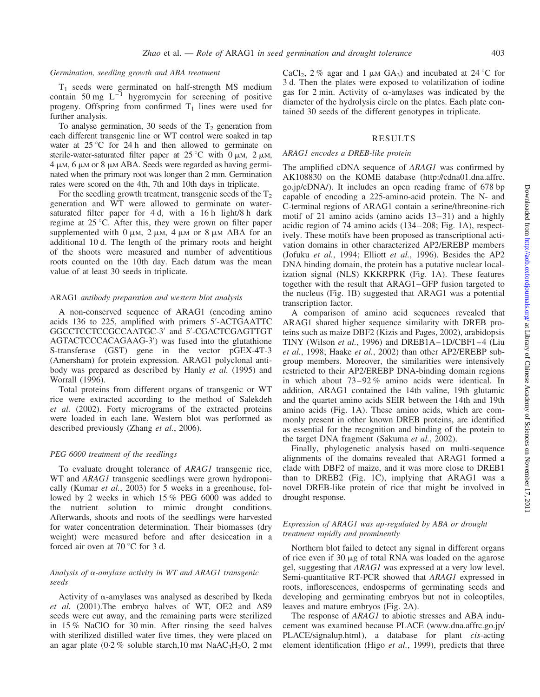#### Germination, seedling growth and ABA treatment

 $T_1$  seeds were germinated on half-strength MS medium contain 50 mg  $L^{-1}$  hygromycin for screening of positive progeny. Offspring from confirmed  $T_1$  lines were used for further analysis.

To analyse germination, 30 seeds of the  $T_2$  generation from each different transgenic line or WT control were soaked in tap water at  $25^{\circ}$ C for 24 h and then allowed to germinate on sterile-water-saturated filter paper at  $25^{\circ}$ C with 0  $\mu$ m, 2  $\mu$ m, 4 u.m, 6 u.m or 8 u.m ABA. Seeds were regarded as having germinated when the primary root was longer than 2 mm. Germination rates were scored on the 4th, 7th and 10th days in triplicate.

For the seedling growth treatment, transgenic seeds of the  $T<sub>2</sub>$ generation and WT were allowed to germinate on watersaturated filter paper for 4 d, with a 16 h light/8 h dark regime at  $25^{\circ}$ C. After this, they were grown on filter paper supplemented with  $0 \mu$ M,  $2 \mu$ M,  $4 \mu$ M or  $8 \mu$ M ABA for an additional 10 d. The length of the primary roots and height of the shoots were measured and number of adventitious roots counted on the 10th day. Each datum was the mean value of at least 30 seeds in triplicate.

### ARAG1 antibody preparation and western blot analysis

A non-conserved sequence of ARAG1 (encoding amino acids 136 to 225, amplified with primers 5'-ACTGAATTC GGCCTCCTCCGCCAATGC-3' and 5'-CGACTCGAGTTGT AGTACTCCCACAGAAG-3') was fused into the glutathione S-transferase (GST) gene in the vector pGEX-4T-3 (Amersham) for protein expression. ARAG1 polyclonal antibody was prepared as described by Hanly et al. (1995) and Worrall (1996).

Total proteins from different organs of transgenic or WT rice were extracted according to the method of Salekdeh et al. (2002). Forty micrograms of the extracted proteins were loaded in each lane. Western blot was performed as described previously (Zhang et al., 2006).

#### PEG 6000 treatment of the seedlings

To evaluate drought tolerance of ARAG1 transgenic rice, WT and *ARAG1* transgenic seedlings were grown hydroponically (Kumar et al., 2003) for 5 weeks in a greenhouse, followed by 2 weeks in which 15 % PEG 6000 was added to the nutrient solution to mimic drought conditions. Afterwards, shoots and roots of the seedlings were harvested for water concentration determination. Their biomasses (dry weight) were measured before and after desiccation in a forced air oven at  $70^{\circ}$ C for 3 d.

## Analysis of  $\alpha$ -amylase activity in WT and ARAG1 transgenic seeds

Activity of  $\alpha$ -amylases was analysed as described by Ikeda et al. (2001).The embryo halves of WT, OE2 and AS9 seeds were cut away, and the remaining parts were sterilized in 15 % NaClO for 30 min. After rinsing the seed halves with sterilized distilled water five times, they were placed on an agar plate (0.2 % soluble starch,10 mm  $NaAC<sub>3</sub>H<sub>2</sub>O$ , 2 mm CaCl<sub>2</sub>, 2 % agar and 1  $\mu$ M GA<sub>3</sub>) and incubated at 24 °C for 3 d. Then the plates were exposed to volatilization of iodine gas for 2 min. Activity of  $\alpha$ -amylases was indicated by the diameter of the hydrolysis circle on the plates. Each plate contained 30 seeds of the different genotypes in triplicate.

#### RESULTS

## ARAG1 encodes a DREB-like protein

The amplified cDNA sequence of ARAG1 was confirmed by AK108830 on the KOME database (http://cdna01.dna.affrc. go.jp/cDNA/). It includes an open reading frame of 678 bp capable of encoding a 225-amino-acid protein. The N- and C-terminal regions of ARAG1 contain a serine/threonine-rich motif of 21 amino acids (amino acids 13–31) and a highly acidic region of 74 amino acids (134–208; Fig. 1A), respectively. These motifs have been proposed as transcriptional activation domains in other characterized AP2/EREBP members (Jofuku et al., 1994; Elliott et al., 1996). Besides the AP2 DNA binding domain, the protein has a putative nuclear localization signal (NLS) KKKRPRK (Fig. 1A). These features together with the result that ARAG1–GFP fusion targeted to the nucleus (Fig. 1B) suggested that ARAG1 was a potential transcription factor.

A comparison of amino acid sequences revealed that ARAG1 shared higher sequence similarity with DREB proteins such as maize DBF2 (Kizis and Pages, 2002), arabidopsis TINY (Wilson et al., 1996) and DREB1A–1D/CBF1–4 (Liu et al., 1998; Haake et al., 2002) than other AP2/EREBP subgroup members. Moreover, the similarities were intensively restricted to their AP2/EREBP DNA-binding domain regions in which about 73–92 % amino acids were identical. In addition, ARAG1 contained the 14th valine, 19th glutamic and the quartet amino acids SEIR between the 14th and 19th amino acids (Fig. 1A). These amino acids, which are commonly present in other known DREB proteins, are identified as essential for the recognition and binding of the protein to the target DNA fragment (Sakuma et al., 2002).

Finally, phylogenetic analysis based on multi-sequence alignments of the domains revealed that ARAG1 formed a clade with DBF2 of maize, and it was more close to DREB1 than to DREB2 (Fig. 1C), implying that ARAG1 was a novel DREB-like protein of rice that might be involved in drought response.

## Expression of ARAG1 was up-regulated by ABA or drought treatment rapidly and prominently

Northern blot failed to detect any signal in different organs of rice even if  $30 \mu g$  of total RNA was loaded on the agarose gel, suggesting that ARAG1 was expressed at a very low level. Semi-quantitative RT-PCR showed that ARAG1 expressed in roots, inflorescences, endosperms of germinating seeds and developing and germinating embryos but not in coleoptiles, leaves and mature embryos (Fig. 2A).

The response of *ARAG1* to abiotic stresses and ABA inducement was examined because PLACE (www.dna.affrc.go.jp/ PLACE/signalup.html), a database for plant cis-acting element identification (Higo et al., 1999), predicts that three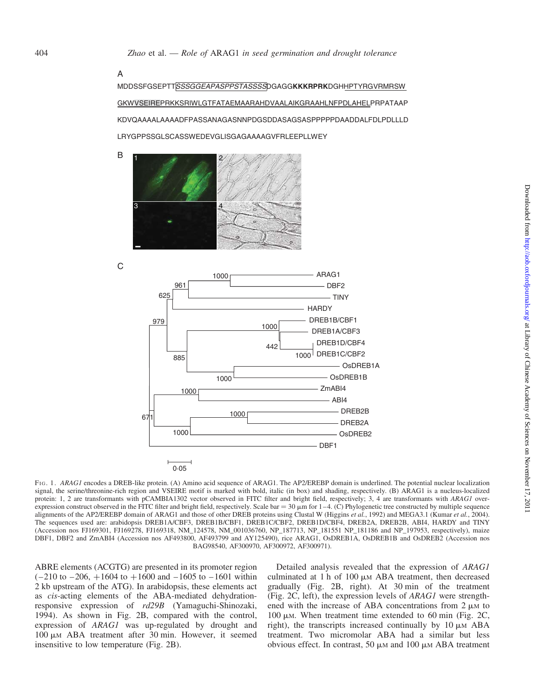A

C

MDDSSFGSEPTT*SSSGGEAPASPPSTASSSS*DGAGG**KKKRPRK**DGHHPTYRGVRMRSW GKWVSEIREPRKKSRIWLGTFATAEMAARAHDVAALAIKGRAAHLNFPDLAHELPRPATAAP KDVQAAAALAAAADFPASSANAGASNNPDGSDDASAGSASPPPPPDAADDALFDLPDLLLD LRYGPPSSGLSCASSWEDEVGLISGAGAAAAGVFRLEEPLLWEY





FIG. 1. ARAG1 encodes a DREB-like protein. (A) Amino acid sequence of ARAG1. The AP2/EREBP domain is underlined. The potential nuclear localization signal, the serine/threonine-rich region and VSEIRE motif is marked with bold, italic (in box) and shading, respectively. (B) ARAG1 is a nucleus-localized protein: 1, 2 are transformants with pCAMBIA1302 vector observed in FITC filter and bright field, respectively; 3, 4 are transformants with ARAG1 overexpression construct observed in the FITC filter and bright field, respectively. Scale bar = 30  $\mu$ m for 1–4. (C) Phylogenetic tree constructed by multiple sequence alignments of the AP2/EREBP domain of ARAG1 and those of other DREB proteins using Clustal W (Higgins et al., 1992) and MEGA3.1 (Kumar et al., 2004). The sequences used are: arabidopsis DREB1A/CBF3, DREB1B/CBF1, DREB1C/CBF2, DREB1D/CBF4, DREB2A, DREB2B, ABI4, HARDY and TINY (Accession nos FJ169301, FJ169278, FJ169318, NM\_124578, NM\_001036760, NP\_187713, NP\_181551 NP\_181186 and NP\_197953, respectively), maize DBF1, DBF2 and ZmABI4 (Accession nos AF493800, AF493799 and AY125490), rice ARAG1, OsDREB1A, OsDREB1B and OsDREB2 (Accession nos BAG98540, AF300970, AF300972, AF300971).

ABRE elements (ACGTG) are presented in its promoter region  $(-210$  to  $-206$ ,  $+1604$  to  $+1600$  and  $-1605$  to  $-1601$  within 2 kb upstream of the ATG). In arabidopsis, these elements act as cis-acting elements of the ABA-mediated dehydrationresponsive expression of rd29B (Yamaguchi-Shinozaki, 1994). As shown in Fig. 2B, compared with the control, expression of ARAG1 was up-regulated by drought and  $100 \mu$ M ABA treatment after 30 min. However, it seemed insensitive to low temperature (Fig. 2B).

Detailed analysis revealed that the expression of ARAG1 culminated at 1 h of 100  $\mu$ M ABA treatment, then decreased gradually (Fig. 2B, right). At 30 min of the treatment (Fig. 2C, left), the expression levels of ARAG1 were strengthened with the increase of ABA concentrations from  $2 \mu M$  to 100  $\mu$ M. When treatment time extended to 60 min (Fig. 2C, right), the transcripts increased continually by  $10 \mu M$  ABA treatment. Two micromolar ABA had a similar but less obvious effect. In contrast, 50  $\mu$ M and 100  $\mu$ M ABA treatment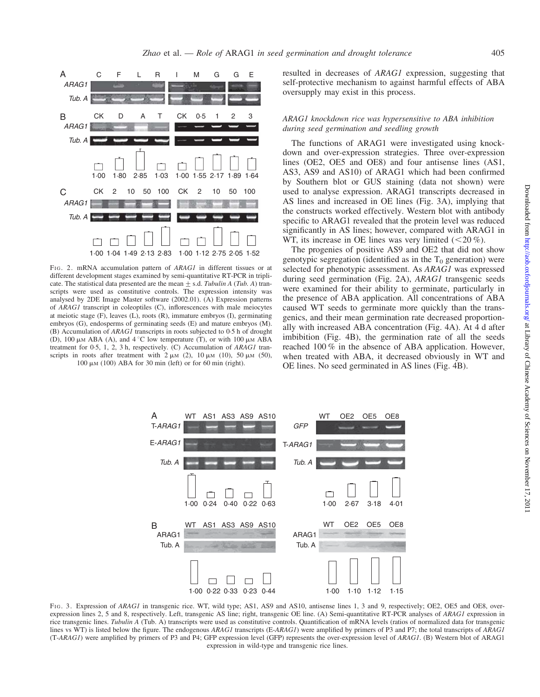

FIG. 2. mRNA accumulation pattern of ARAG1 in different tissues or at different development stages examined by semi-quantitative RT-PCR in triplicate. The statistical data presented are the mean  $\pm$  s.d. Tubulin A (Tub. A) transcripts were used as constitutive controls. The expression intensity was analysed by 2DE Image Master software (2002.01). (A) Expression patterns of ARAG1 transcript in coleoptiles (C), inflorescences with male meiocytes at meiotic stage (F), leaves (L), roots (R), immature embryos (I), germinating embryos (G), endosperms of germinating seeds (E) and mature embryos (M). (B) Accumulation of ARAG1 transcripts in roots subjected to 0.5 h of drought (D), 100  $\mu$ M ABA (A), and 4 °C low temperature (T), or with 100  $\mu$ M ABA treatment for 0.5, 1, 2, 3 h, respectively. (C) Accumulation of ARAG1 transcripts in roots after treatment with  $2 \mu M$  (2),  $10 \mu M$  (10),  $50 \mu M$  (50), 100  $\mu$ M (100) ABA for 30 min (left) or for 60 min (right).

resulted in decreases of ARAG1 expression, suggesting that self-protective mechanism to against harmful effects of ABA oversupply may exist in this process.

## ARAG1 knockdown rice was hypersensitive to ABA inhibition during seed germination and seedling growth

The functions of ARAG1 were investigated using knockdown and over-expression strategies. Three over-expression lines (OE2, OE5 and OE8) and four antisense lines (AS1, AS3, AS9 and AS10) of ARAG1 which had been confirmed by Southern blot or GUS staining (data not shown) were used to analyse expression. ARAG1 transcripts decreased in AS lines and increased in OE lines (Fig. 3A), implying that the constructs worked effectively. Western blot with antibody specific to ARAG1 revealed that the protein level was reduced significantly in AS lines; however, compared with ARAG1 in WT, its increase in OE lines was very limited  $(<20\%$ ).

The progenies of positive AS9 and OE2 that did not show genotypic segregation (identified as in the  $T_0$  generation) were selected for phenotypic assessment. As ARAG1 was expressed during seed germination (Fig. 2A), ARAG1 transgenic seeds were examined for their ability to germinate, particularly in the presence of ABA application. All concentrations of ABA caused WT seeds to germinate more quickly than the transgenics, and their mean germination rate decreased proportionally with increased ABA concentration (Fig. 4A). At 4 d after imbibition (Fig. 4B), the germination rate of all the seeds reached 100 % in the absence of ABA application. However, when treated with ABA, it decreased obviously in WT and OE lines. No seed germinated in AS lines (Fig. 4B).



FIG. 3. Expression of ARAG1 in transgenic rice. WT, wild type; AS1, AS9 and AS10, antisense lines 1, 3 and 9, respectively; OE2, OE5 and OE8, overexpression lines 2, 5 and 8, respectively. Left, transgenic AS line; right, transgenic OE line. (A) Semi-quantitative RT-PCR analyses of ARAG1 expression in rice transgenic lines. Tubulin A (Tub. A) transcripts were used as constitutive controls. Quantification of mRNA levels (ratios of normalized data for transgenic lines vs WT) is listed below the figure. The endogenous ARAG1 transcripts (E-ARAG1) were amplified by primers of P3 and P7; the total transcripts of ARAG1 (T-ARAG1) were amplified by primers of P3 and P4; GFP expression level (GFP) represents the over-expression level of ARAG1. (B) Western blot of ARAG1 expression in wild-type and transgenic rice lines.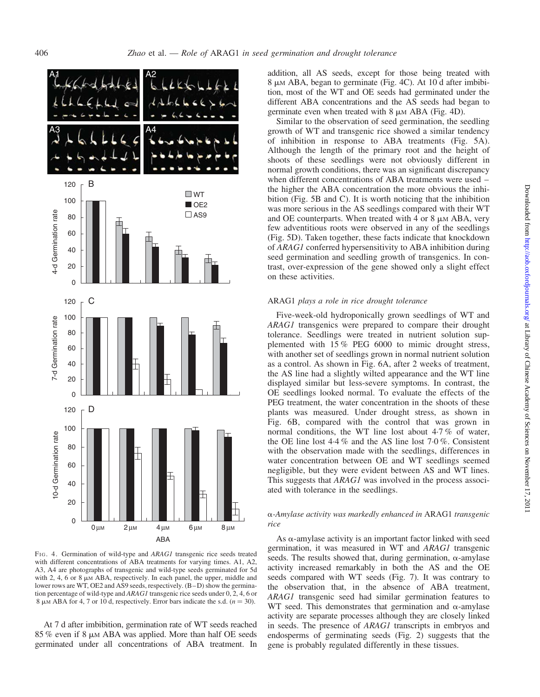

FIG. 4. Germination of wild-type and ARAG1 transgenic rice seeds treated with different concentrations of ABA treatments for varying times. A1, A2, A3, A4 are photographs of transgenic and wild-type seeds germinated for 5d with 2, 4, 6 or 8  $\mu$ M ABA, respectively. In each panel, the upper, middle and lower rows are WT, OE2 and AS9 seeds, respectively. (B–D) show the germination percentage of wild-type and ARAG1 transgenic rice seeds under 0, 2, 4, 6 or 8  $\mu$ M ABA for 4, 7 or 10 d, respectively. Error bars indicate the s.d. ( $n = 30$ ).

At 7 d after imbibition, germination rate of WT seeds reached 85 % even if 8  $\mu$ M ABA was applied. More than half OE seeds germinated under all concentrations of ABA treatment. In

addition, all AS seeds, except for those being treated with 8 μm ABA, began to germinate (Fig. 4C). At 10 d after imbibition, most of the WT and OE seeds had germinated under the different ABA concentrations and the AS seeds had began to germinate even when treated with  $8 \mu M ABA$  (Fig. 4D).

Similar to the observation of seed germination, the seedling growth of WT and transgenic rice showed a similar tendency of inhibition in response to ABA treatments (Fig. 5A). Although the length of the primary root and the height of shoots of these seedlings were not obviously different in normal growth conditions, there was an significant discrepancy when different concentrations of ABA treatments were used – the higher the ABA concentration the more obvious the inhibition (Fig. 5B and C). It is worth noticing that the inhibition was more serious in the AS seedlings compared with their WT and OE counterparts. When treated with 4 or 8  $\mu$ M ABA, very few adventitious roots were observed in any of the seedlings (Fig. 5D). Taken together, these facts indicate that knockdown of ARAG1 conferred hypersensitivity to ABA inhibition during seed germination and seedling growth of transgenics. In contrast, over-expression of the gene showed only a slight effect on these activities.

#### ARAG1 plays a role in rice drought tolerance

Five-week-old hydroponically grown seedlings of WT and ARAG1 transgenics were prepared to compare their drought tolerance. Seedlings were treated in nutrient solution supplemented with 15 % PEG 6000 to mimic drought stress, with another set of seedlings grown in normal nutrient solution as a control. As shown in Fig. 6A, after 2 weeks of treatment, the AS line had a slightly wilted appearance and the WT line displayed similar but less-severe symptoms. In contrast, the OE seedlings looked normal. To evaluate the effects of the PEG treatment, the water concentration in the shoots of these plants was measured. Under drought stress, as shown in Fig. 6B, compared with the control that was grown in normal conditions, the WT line lost about 4.7 % of water, the OE line lost 4.4 % and the AS line lost 7.0 %. Consistent with the observation made with the seedlings, differences in water concentration between OE and WT seedlings seemed negligible, but they were evident between AS and WT lines. This suggests that ARAG1 was involved in the process associated with tolerance in the seedlings.

#### a-Amylase activity was markedly enhanced in ARAG1 transgenic rice

As  $\alpha$ -amylase activity is an important factor linked with seed germination, it was measured in WT and ARAG1 transgenic seeds. The results showed that, during germination,  $\alpha$ -amylase activity increased remarkably in both the AS and the OE seeds compared with WT seeds (Fig. 7). It was contrary to the observation that, in the absence of ABA treatment, ARAG1 transgenic seed had similar germination features to WT seed. This demonstrates that germination and  $\alpha$ -amylase activity are separate processes although they are closely linked in seeds. The presence of ARAG1 transcripts in embryos and endosperms of germinating seeds (Fig. 2) suggests that the gene is probably regulated differently in these tissues.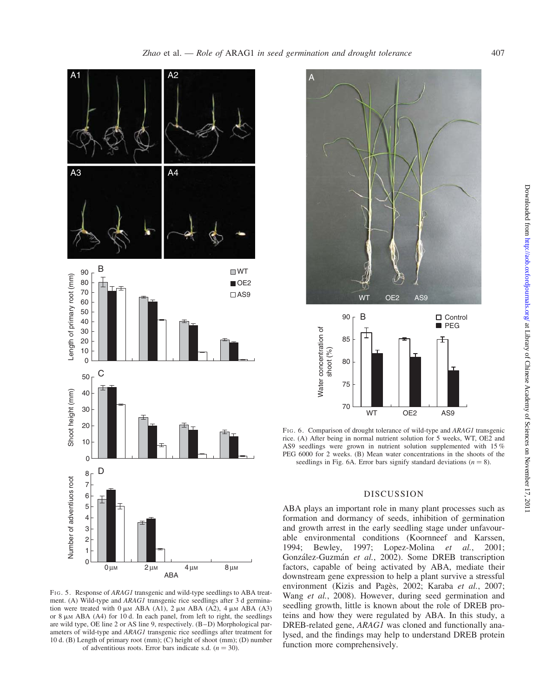

FIG. 5. Response of ARAG1 transgenic and wild-type seedlings to ABA treatment. (A) Wild-type and ARAG1 transgenic rice seedlings after 3 d germination were treated with  $0 \mu M$  ABA (A1), 2  $\mu M$  ABA (A2), 4  $\mu M$  ABA (A3) or 8  $\mu$ M ABA (A4) for 10 d. In each panel, from left to right, the seedlings are wild type, OE line 2 or AS line 9, respectively. (B–D) Morphological parameters of wild-type and ARAG1 transgenic rice seedlings after treatment for 10 d. (B) Length of primary root (mm); (C) height of shoot (mm); (D) number of adventitious roots. Error bars indicate s.d.  $(n = 30)$ .





FIG. 6. Comparison of drought tolerance of wild-type and ARAG1 transgenic rice. (A) After being in normal nutrient solution for 5 weeks, WT, OE2 and AS9 seedlings were grown in nutrient solution supplemented with 15 % PEG 6000 for 2 weeks. (B) Mean water concentrations in the shoots of the seedlings in Fig. 6A. Error bars signify standard deviations ( $n = 8$ ).

## DISCUSSION

ABA plays an important role in many plant processes such as formation and dormancy of seeds, inhibition of germination and growth arrest in the early seedling stage under unfavourable environmental conditions (Koornneef and Karssen, 1994; Bewley, 1997; Lopez-Molina et al., 2001; González-Guzmán et al., 2002). Some DREB transcription factors, capable of being activated by ABA, mediate their downstream gene expression to help a plant survive a stressful environment (Kizis and Pagès, 2002; Karaba et al., 2007; Wang et al., 2008). However, during seed germination and seedling growth, little is known about the role of DREB proteins and how they were regulated by ABA. In this study, a DREB-related gene, ARAG1 was cloned and functionally analysed, and the findings may help to understand DREB protein function more comprehensively.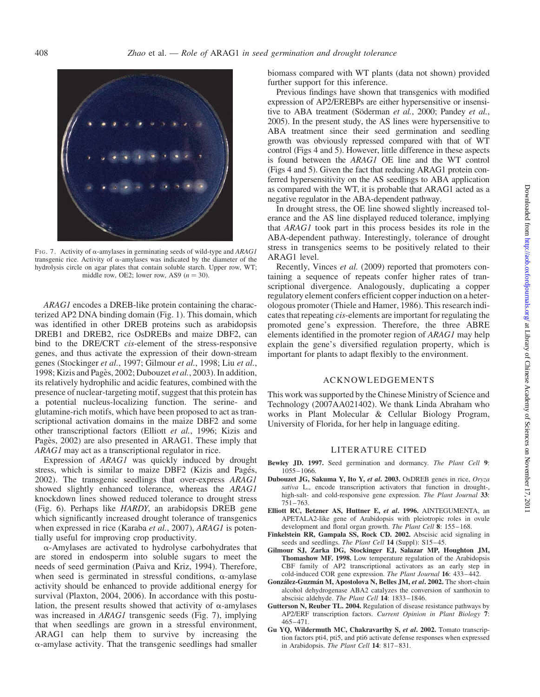

FIG. 7. Activity of  $\alpha$ -amylases in germinating seeds of wild-type and ARAG1 transgenic rice. Activity of  $\alpha$ -amylases was indicated by the diameter of the hydrolysis circle on agar plates that contain soluble starch. Upper row, WT; middle row, OE2; lower row, AS9 ( $n = 30$ ).

ARAG1 encodes a DREB-like protein containing the characterized AP2 DNA binding domain (Fig. 1). This domain, which was identified in other DREB proteins such as arabidopsis DREB1 and DREB2, rice OsDREBs and maize DBF2, can bind to the DRE/CRT cis-element of the stress-responsive genes, and thus activate the expression of their down-stream genes (Stockinger et al., 1997; Gilmour et al., 1998; Liu et al., 1998; Kizis and Pagès, 2002; Dubouzet et al., 2003). In addition, its relatively hydrophilic and acidic features, combined with the presence of nuclear-targeting motif, suggest that this protein has a potential nucleus-localizing function. The serine- and glutamine-rich motifs, which have been proposed to act as transcriptional activation domains in the maize DBF2 and some other transcriptional factors (Elliott et al., 1996; Kizis and Pagès, 2002) are also presented in ARAG1. These imply that ARAG1 may act as a transcriptional regulator in rice.

Expression of ARAG1 was quickly induced by drought stress, which is similar to maize DBF2 (Kizis and Pagés, 2002). The transgenic seedlings that over-express ARAG1 showed slightly enhanced tolerance, whereas the ARAG1 knockdown lines showed reduced tolerance to drought stress (Fig. 6). Perhaps like HARDY, an arabidopsis DREB gene which significantly increased drought tolerance of transgenics when expressed in rice (Karaba et al., 2007), ARAG1 is potentially useful for improving crop productivity.

 $\alpha$ -Amylases are activated to hydrolyse carbohydrates that are stored in endosperm into soluble sugars to meet the needs of seed germination (Paiva and Kriz, 1994). Therefore, when seed is germinated in stressful conditions,  $\alpha$ -amylase activity should be enhanced to provide additional energy for survival (Plaxton, 2004, 2006). In accordance with this postulation, the present results showed that activity of  $\alpha$ -amylases was increased in ARAG1 transgenic seeds (Fig. 7), implying that when seedlings are grown in a stressful environment, ARAG1 can help them to survive by increasing the  $\alpha$ -amylase activity. That the transgenic seedlings had smaller

biomass compared with WT plants (data not shown) provided further support for this inference.

Previous findings have shown that transgenics with modified expression of AP2/EREBPs are either hypersensitive or insensitive to ABA treatment (Söderman et al., 2000; Pandey et al., 2005). In the present study, the AS lines were hypersensitive to ABA treatment since their seed germination and seedling growth was obviously repressed compared with that of WT control (Figs 4 and 5). However, little difference in these aspects is found between the ARAG1 OE line and the WT control (Figs 4 and 5). Given the fact that reducing ARAG1 protein conferred hypersensitivity on the AS seedlings to ABA application as compared with the WT, it is probable that ARAG1 acted as a negative regulator in the ABA-dependent pathway.

In drought stress, the OE line showed slightly increased tolerance and the AS line displayed reduced tolerance, implying that ARAG1 took part in this process besides its role in the ABA-dependent pathway. Interestingly, tolerance of drought stress in transgenics seems to be positively related to their ARAG1 level.

Recently, Vinces *et al.* (2009) reported that promoters containing a sequence of repeats confer higher rates of transcriptional divergence. Analogously, duplicating a copper regulatory element confers efficient copper induction on a heterologous promoter (Thiele and Hamer, 1986). This research indicates that repeating cis-elements are important for regulating the promoted gene's expression. Therefore, the three ABRE elements identified in the promoter region of ARAG1 may help explain the gene's diversified regulation property, which is important for plants to adapt flexibly to the environment.

## ACKNOWLEDGEMENTS

This work was supported by the Chinese Ministry of Science and Technology (2007AA021402). We thank Linda Abraham who works in Plant Molecular & Cellular Biology Program, University of Florida, for her help in language editing.

# LITERATURE CITED

- Bewley JD. 1997. Seed germination and dormancy. The Plant Cell 9: 1055–1066.
- Dubouzet JG, Sakuma Y, Ito Y, et al. 2003. OsDREB genes in rice, Oryza sativa L., encode transcription activators that function in drought-, high-salt- and cold-responsive gene expression. The Plant Journal 33: 751–763.
- Elliott RC, Betzner AS, Huttner E, et al. 1996. AINTEGUMENTA, an APETALA2-like gene of Arabidopsis with pleiotropic roles in ovule development and floral organ growth. The Plant Cell 8: 155-168.
- Finkelstein RR, Gampala SS, Rock CD. 2002. Abscisic acid signaling in seeds and seedlings. The Plant Cell 14 (Suppl): S15-45.
- Gilmour SJ, Zarka DG, Stockinger EJ, Salazar MP, Houghton JM, Thomashow MF. 1998. Low temperature regulation of the Arabidopsis CBF family of AP2 transcriptional activators as an early step in cold-induced COR gene expression. The Plant Journal 16: 433–442.
- González-Guzmán M, Apostolova N, Belles JM, et al. 2002. The short-chain alcohol dehydrogenase ABA2 catalyzes the conversion of xanthoxin to abscisic aldehyde. The Plant Cell 14: 1833–1846.
- Gutterson N, Reuber TL. 2004. Regulation of disease resistance pathways by AP2/ERF transcription factors. Current Opinion in Plant Biology 7: 465–471.
- Gu YQ, Wildermuth MC, Chakravarthy S, et al. 2002. Tomato transcription factors pti4, pti5, and pti6 activate defense responses when expressed in Arabidopsis. The Plant Cell 14: 817–831.